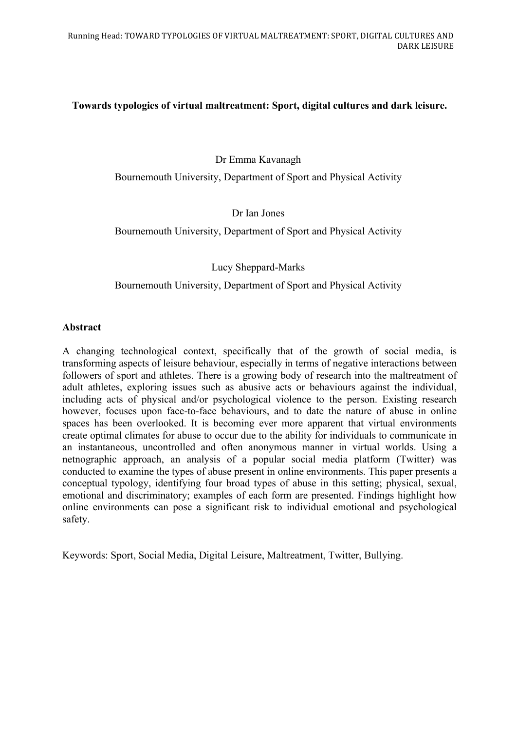# **Towards typologies of virtual maltreatment: Sport, digital cultures and dark leisure.**

Dr Emma Kavanagh

Bournemouth University, Department of Sport and Physical Activity

Dr Ian Jones

Bournemouth University, Department of Sport and Physical Activity

Lucy Sheppard-Marks

Bournemouth University, Department of Sport and Physical Activity

# **Abstract**

A changing technological context, specifically that of the growth of social media, is transforming aspects of leisure behaviour, especially in terms of negative interactions between followers of sport and athletes. There is a growing body of research into the maltreatment of adult athletes, exploring issues such as abusive acts or behaviours against the individual, including acts of physical and/or psychological violence to the person. Existing research however, focuses upon face-to-face behaviours, and to date the nature of abuse in online spaces has been overlooked. It is becoming ever more apparent that virtual environments create optimal climates for abuse to occur due to the ability for individuals to communicate in an instantaneous, uncontrolled and often anonymous manner in virtual worlds. Using a netnographic approach, an analysis of a popular social media platform (Twitter) was conducted to examine the types of abuse present in online environments. This paper presents a conceptual typology, identifying four broad types of abuse in this setting; physical, sexual, emotional and discriminatory; examples of each form are presented. Findings highlight how online environments can pose a significant risk to individual emotional and psychological safety.

Keywords: Sport, Social Media, Digital Leisure, Maltreatment, Twitter, Bullying.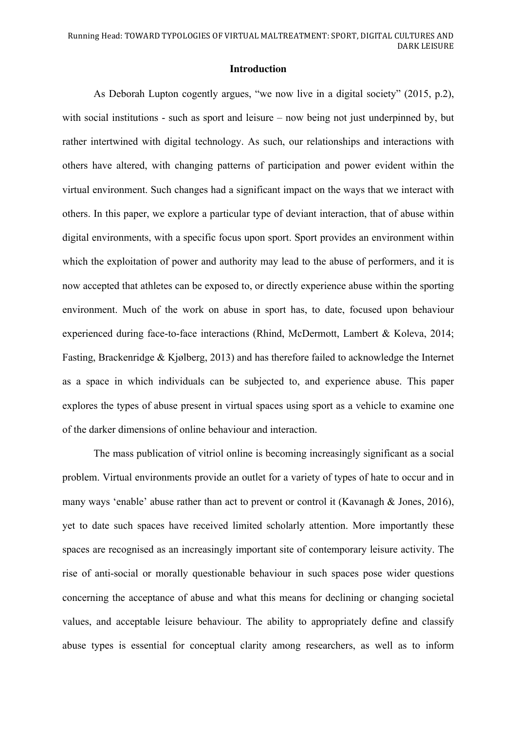#### **Introduction**

As Deborah Lupton cogently argues, "we now live in a digital society" (2015, p.2), with social institutions - such as sport and leisure – now being not just underpinned by, but rather intertwined with digital technology. As such, our relationships and interactions with others have altered, with changing patterns of participation and power evident within the virtual environment. Such changes had a significant impact on the ways that we interact with others. In this paper, we explore a particular type of deviant interaction, that of abuse within digital environments, with a specific focus upon sport. Sport provides an environment within which the exploitation of power and authority may lead to the abuse of performers, and it is now accepted that athletes can be exposed to, or directly experience abuse within the sporting environment. Much of the work on abuse in sport has, to date, focused upon behaviour experienced during face-to-face interactions (Rhind, McDermott, Lambert & Koleva, 2014; Fasting, Brackenridge & Kjølberg, 2013) and has therefore failed to acknowledge the Internet as a space in which individuals can be subjected to, and experience abuse. This paper explores the types of abuse present in virtual spaces using sport as a vehicle to examine one of the darker dimensions of online behaviour and interaction.

The mass publication of vitriol online is becoming increasingly significant as a social problem. Virtual environments provide an outlet for a variety of types of hate to occur and in many ways 'enable' abuse rather than act to prevent or control it (Kavanagh & Jones, 2016), yet to date such spaces have received limited scholarly attention. More importantly these spaces are recognised as an increasingly important site of contemporary leisure activity. The rise of anti-social or morally questionable behaviour in such spaces pose wider questions concerning the acceptance of abuse and what this means for declining or changing societal values, and acceptable leisure behaviour. The ability to appropriately define and classify abuse types is essential for conceptual clarity among researchers, as well as to inform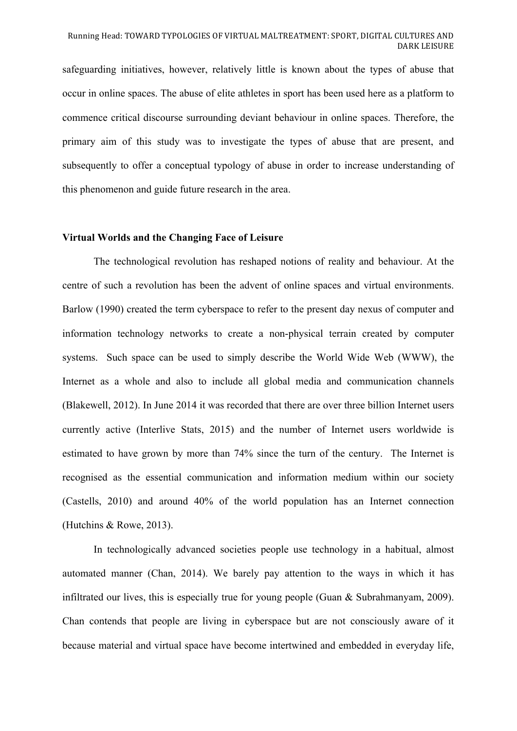safeguarding initiatives, however, relatively little is known about the types of abuse that occur in online spaces. The abuse of elite athletes in sport has been used here as a platform to commence critical discourse surrounding deviant behaviour in online spaces. Therefore, the primary aim of this study was to investigate the types of abuse that are present, and subsequently to offer a conceptual typology of abuse in order to increase understanding of this phenomenon and guide future research in the area.

# **Virtual Worlds and the Changing Face of Leisure**

The technological revolution has reshaped notions of reality and behaviour. At the centre of such a revolution has been the advent of online spaces and virtual environments. Barlow (1990) created the term cyberspace to refer to the present day nexus of computer and information technology networks to create a non-physical terrain created by computer systems. Such space can be used to simply describe the World Wide Web (WWW), the Internet as a whole and also to include all global media and communication channels (Blakewell, 2012). In June 2014 it was recorded that there are over three billion Internet users currently active (Interlive Stats, 2015) and the number of Internet users worldwide is estimated to have grown by more than 74% since the turn of the century. The Internet is recognised as the essential communication and information medium within our society (Castells, 2010) and around 40% of the world population has an Internet connection (Hutchins & Rowe, 2013).

In technologically advanced societies people use technology in a habitual, almost automated manner (Chan, 2014). We barely pay attention to the ways in which it has infiltrated our lives, this is especially true for young people (Guan & Subrahmanyam, 2009). Chan contends that people are living in cyberspace but are not consciously aware of it because material and virtual space have become intertwined and embedded in everyday life,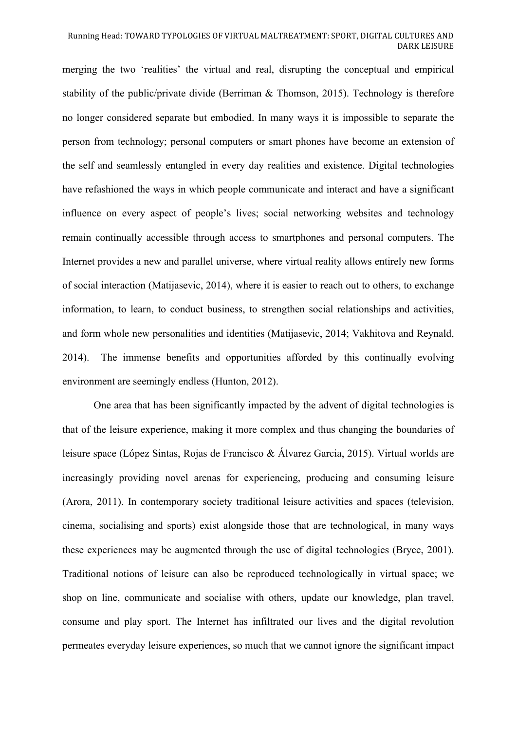merging the two 'realities' the virtual and real, disrupting the conceptual and empirical stability of the public/private divide (Berriman & Thomson, 2015). Technology is therefore no longer considered separate but embodied. In many ways it is impossible to separate the person from technology; personal computers or smart phones have become an extension of the self and seamlessly entangled in every day realities and existence. Digital technologies have refashioned the ways in which people communicate and interact and have a significant influence on every aspect of people's lives; social networking websites and technology remain continually accessible through access to smartphones and personal computers. The Internet provides a new and parallel universe, where virtual reality allows entirely new forms of social interaction (Matijasevic, 2014), where it is easier to reach out to others, to exchange information, to learn, to conduct business, to strengthen social relationships and activities, and form whole new personalities and identities (Matijasevic, 2014; Vakhitova and Reynald, 2014). The immense benefits and opportunities afforded by this continually evolving environment are seemingly endless (Hunton, 2012).

One area that has been significantly impacted by the advent of digital technologies is that of the leisure experience, making it more complex and thus changing the boundaries of leisure space (López Sintas, Rojas de Francisco & Álvarez Garcia, 2015). Virtual worlds are increasingly providing novel arenas for experiencing, producing and consuming leisure (Arora, 2011). In contemporary society traditional leisure activities and spaces (television, cinema, socialising and sports) exist alongside those that are technological, in many ways these experiences may be augmented through the use of digital technologies (Bryce, 2001). Traditional notions of leisure can also be reproduced technologically in virtual space; we shop on line, communicate and socialise with others, update our knowledge, plan travel, consume and play sport. The Internet has infiltrated our lives and the digital revolution permeates everyday leisure experiences, so much that we cannot ignore the significant impact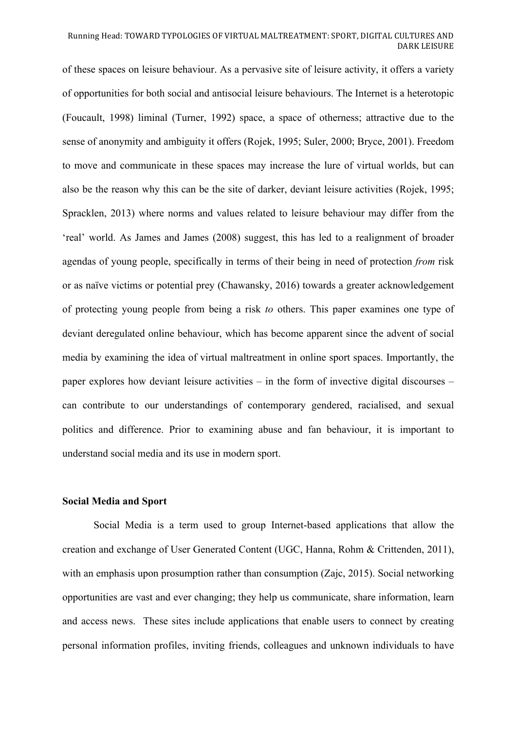of these spaces on leisure behaviour. As a pervasive site of leisure activity, it offers a variety of opportunities for both social and antisocial leisure behaviours. The Internet is a heterotopic (Foucault, 1998) liminal (Turner, 1992) space, a space of otherness; attractive due to the sense of anonymity and ambiguity it offers (Rojek, 1995; Suler, 2000; Bryce, 2001). Freedom to move and communicate in these spaces may increase the lure of virtual worlds, but can also be the reason why this can be the site of darker, deviant leisure activities (Rojek, 1995; Spracklen, 2013) where norms and values related to leisure behaviour may differ from the 'real' world. As James and James (2008) suggest, this has led to a realignment of broader agendas of young people, specifically in terms of their being in need of protection *from* risk or as naïve victims or potential prey (Chawansky, 2016) towards a greater acknowledgement of protecting young people from being a risk *to* others. This paper examines one type of deviant deregulated online behaviour, which has become apparent since the advent of social media by examining the idea of virtual maltreatment in online sport spaces. Importantly, the paper explores how deviant leisure activities – in the form of invective digital discourses – can contribute to our understandings of contemporary gendered, racialised, and sexual politics and difference. Prior to examining abuse and fan behaviour, it is important to understand social media and its use in modern sport.

# **Social Media and Sport**

Social Media is a term used to group Internet-based applications that allow the creation and exchange of User Generated Content (UGC, Hanna, Rohm & Crittenden, 2011), with an emphasis upon prosumption rather than consumption (Zajc, 2015). Social networking opportunities are vast and ever changing; they help us communicate, share information, learn and access news. These sites include applications that enable users to connect by creating personal information profiles, inviting friends, colleagues and unknown individuals to have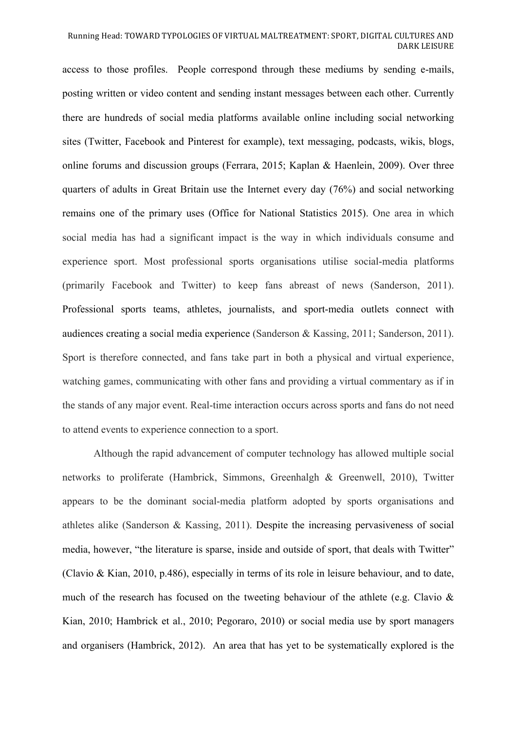access to those profiles. People correspond through these mediums by sending e-mails, posting written or video content and sending instant messages between each other. Currently there are hundreds of social media platforms available online including social networking sites (Twitter, Facebook and Pinterest for example), text messaging, podcasts, wikis, blogs, online forums and discussion groups (Ferrara, 2015; Kaplan & Haenlein, 2009). Over three quarters of adults in Great Britain use the Internet every day (76%) and social networking remains one of the primary uses (Office for National Statistics 2015). One area in which social media has had a significant impact is the way in which individuals consume and experience sport. Most professional sports organisations utilise social-media platforms (primarily Facebook and Twitter) to keep fans abreast of news (Sanderson, 2011). Professional sports teams, athletes, journalists, and sport-media outlets connect with audiences creating a social media experience (Sanderson & Kassing, 2011; Sanderson, 2011). Sport is therefore connected, and fans take part in both a physical and virtual experience, watching games, communicating with other fans and providing a virtual commentary as if in the stands of any major event. Real-time interaction occurs across sports and fans do not need to attend events to experience connection to a sport.

Although the rapid advancement of computer technology has allowed multiple social networks to proliferate (Hambrick, Simmons, Greenhalgh & Greenwell, 2010), Twitter appears to be the dominant social-media platform adopted by sports organisations and athletes alike (Sanderson & Kassing, 2011). Despite the increasing pervasiveness of social media, however, "the literature is sparse, inside and outside of sport, that deals with Twitter" (Clavio & Kian, 2010, p.486), especially in terms of its role in leisure behaviour, and to date, much of the research has focused on the tweeting behaviour of the athlete (e.g. Clavio & Kian, 2010; Hambrick et al., 2010; Pegoraro, 2010) or social media use by sport managers and organisers (Hambrick, 2012). An area that has yet to be systematically explored is the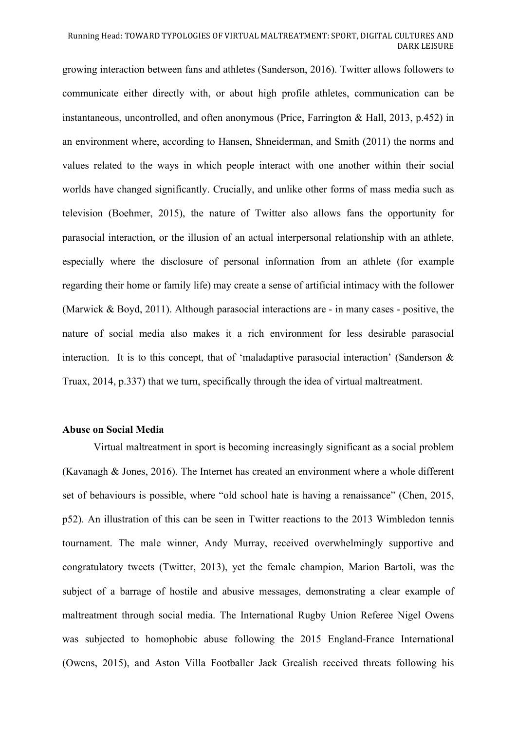growing interaction between fans and athletes (Sanderson, 2016). Twitter allows followers to communicate either directly with, or about high profile athletes, communication can be instantaneous, uncontrolled, and often anonymous (Price, Farrington & Hall, 2013, p.452) in an environment where, according to Hansen, Shneiderman, and Smith (2011) the norms and values related to the ways in which people interact with one another within their social worlds have changed significantly. Crucially, and unlike other forms of mass media such as television (Boehmer, 2015), the nature of Twitter also allows fans the opportunity for parasocial interaction, or the illusion of an actual interpersonal relationship with an athlete, especially where the disclosure of personal information from an athlete (for example regarding their home or family life) may create a sense of artificial intimacy with the follower (Marwick & Boyd, 2011). Although parasocial interactions are - in many cases - positive, the nature of social media also makes it a rich environment for less desirable parasocial interaction. It is to this concept, that of 'maladaptive parasocial interaction' (Sanderson  $\&$ Truax, 2014, p.337) that we turn, specifically through the idea of virtual maltreatment.

### **Abuse on Social Media**

Virtual maltreatment in sport is becoming increasingly significant as a social problem (Kavanagh & Jones, 2016). The Internet has created an environment where a whole different set of behaviours is possible, where "old school hate is having a renaissance" (Chen, 2015, p52). An illustration of this can be seen in Twitter reactions to the 2013 Wimbledon tennis tournament. The male winner, Andy Murray, received overwhelmingly supportive and congratulatory tweets (Twitter, 2013), yet the female champion, Marion Bartoli, was the subject of a barrage of hostile and abusive messages, demonstrating a clear example of maltreatment through social media. The International Rugby Union Referee Nigel Owens was subjected to homophobic abuse following the 2015 England-France International (Owens, 2015), and Aston Villa Footballer Jack Grealish received threats following his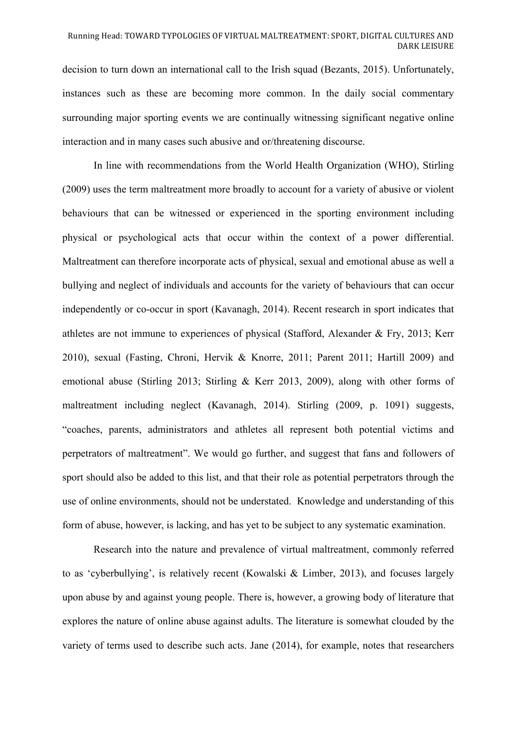decision to turn down an international call to the Irish squad (Bezants, 2015). Unfortunately, instances such as these are becoming more common. In the daily social commentary surrounding major sporting events we are continually witnessing significant negative online interaction and in many cases such abusive and or/threatening discourse.

In line with recommendations from the World Health Organization (WHO), Stirling (2009) uses the term maltreatment more broadly to account for a variety of abusive or violent behaviours that can be witnessed or experienced in the sporting environment including physical or psychological acts that occur within the context of a power differential. Maltreatment can therefore incorporate acts of physical, sexual and emotional abuse as well a bullying and neglect of individuals and accounts for the variety of behaviours that can occur independently or co-occur in sport (Kavanagh, 2014). Recent research in sport indicates that athletes are not immune to experiences of physical (Stafford, Alexander & Fry, 2013; Kerr 2010), sexual (Fasting, Chroni, Hervik & Knorre, 2011; Parent 2011; Hartill 2009) and emotional abuse (Stirling 2013; Stirling & Kerr 2013, 2009), along with other forms of maltreatment including neglect (Kavanagh, 2014). Stirling (2009, p. 1091) suggests, "coaches, parents, administrators and athletes all represent both potential victims and perpetrators of maltreatment". We would go further, and suggest that fans and followers of sport should also be added to this list, and that their role as potential perpetrators through the use of online environments, should not be understated. Knowledge and understanding of this form of abuse, however, is lacking, and has yet to be subject to any systematic examination.

Research into the nature and prevalence of virtual maltreatment, commonly referred to as 'cyberbullying', is relatively recent (Kowalski & Limber, 2013), and focuses largely upon abuse by and against young people. There is, however, a growing body of literature that explores the nature of online abuse against adults. The literature is somewhat clouded by the variety of terms used to describe such acts. Jane (2014), for example, notes that researchers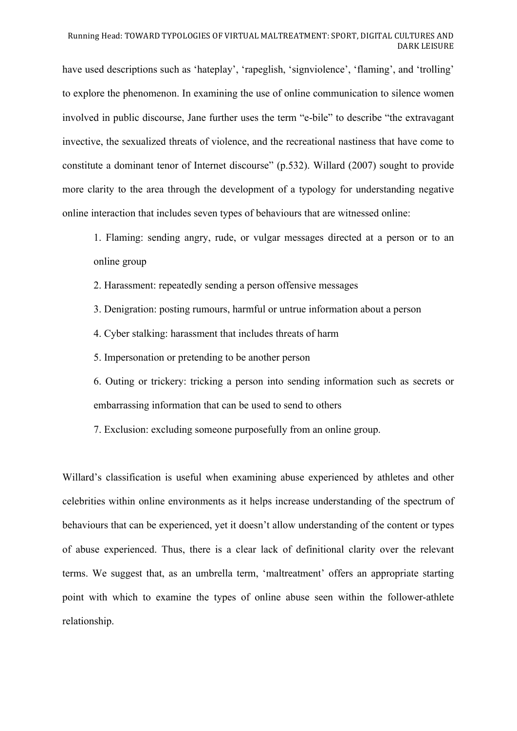have used descriptions such as 'hateplay', 'rapeglish, 'signviolence', 'flaming', and 'trolling' to explore the phenomenon. In examining the use of online communication to silence women involved in public discourse, Jane further uses the term "e-bile" to describe "the extravagant invective, the sexualized threats of violence, and the recreational nastiness that have come to constitute a dominant tenor of Internet discourse" (p.532). Willard (2007) sought to provide more clarity to the area through the development of a typology for understanding negative online interaction that includes seven types of behaviours that are witnessed online:

1. Flaming: sending angry, rude, or vulgar messages directed at a person or to an online group

2. Harassment: repeatedly sending a person offensive messages

3. Denigration: posting rumours, harmful or untrue information about a person

4. Cyber stalking: harassment that includes threats of harm

5. Impersonation or pretending to be another person

6. Outing or trickery: tricking a person into sending information such as secrets or embarrassing information that can be used to send to others

7. Exclusion: excluding someone purposefully from an online group.

Willard's classification is useful when examining abuse experienced by athletes and other celebrities within online environments as it helps increase understanding of the spectrum of behaviours that can be experienced, yet it doesn't allow understanding of the content or types of abuse experienced. Thus, there is a clear lack of definitional clarity over the relevant terms. We suggest that, as an umbrella term, 'maltreatment' offers an appropriate starting point with which to examine the types of online abuse seen within the follower-athlete relationship.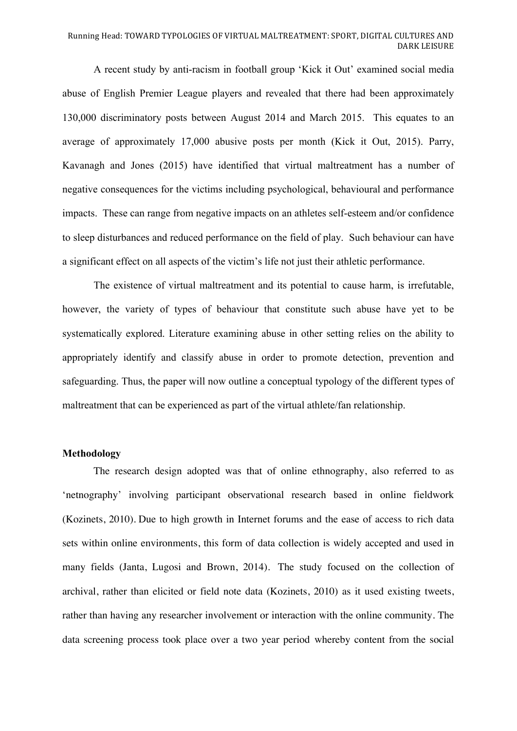A recent study by anti-racism in football group 'Kick it Out' examined social media abuse of English Premier League players and revealed that there had been approximately 130,000 discriminatory posts between August 2014 and March 2015. This equates to an average of approximately 17,000 abusive posts per month (Kick it Out, 2015). Parry, Kavanagh and Jones (2015) have identified that virtual maltreatment has a number of negative consequences for the victims including psychological, behavioural and performance impacts. These can range from negative impacts on an athletes self-esteem and/or confidence to sleep disturbances and reduced performance on the field of play. Such behaviour can have a significant effect on all aspects of the victim's life not just their athletic performance.

The existence of virtual maltreatment and its potential to cause harm, is irrefutable, however, the variety of types of behaviour that constitute such abuse have yet to be systematically explored. Literature examining abuse in other setting relies on the ability to appropriately identify and classify abuse in order to promote detection, prevention and safeguarding. Thus, the paper will now outline a conceptual typology of the different types of maltreatment that can be experienced as part of the virtual athlete/fan relationship.

#### **Methodology**

The research design adopted was that of online ethnography, also referred to as 'netnography' involving participant observational research based in online fieldwork (Kozinets, 2010). Due to high growth in Internet forums and the ease of access to rich data sets within online environments, this form of data collection is widely accepted and used in many fields (Janta, Lugosi and Brown, 2014). The study focused on the collection of archival, rather than elicited or field note data (Kozinets, 2010) as it used existing tweets, rather than having any researcher involvement or interaction with the online community. The data screening process took place over a two year period whereby content from the social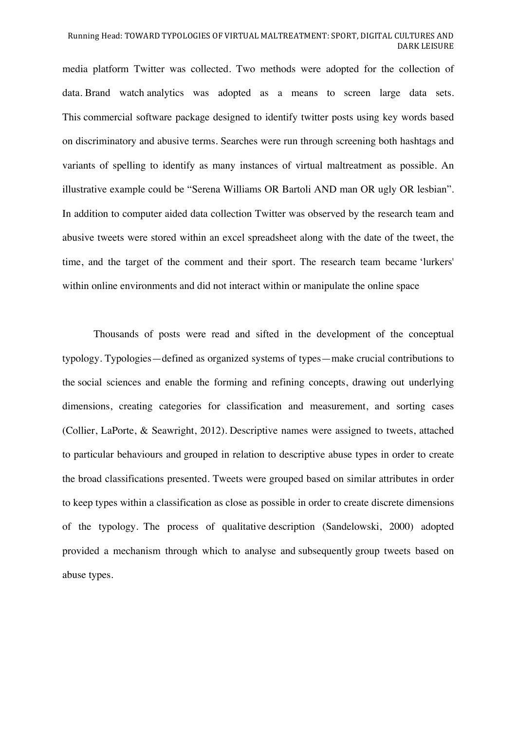media platform Twitter was collected. Two methods were adopted for the collection of data. Brand watch analytics was adopted as a means to screen large data sets. This commercial software package designed to identify twitter posts using key words based on discriminatory and abusive terms. Searches were run through screening both hashtags and variants of spelling to identify as many instances of virtual maltreatment as possible. An illustrative example could be "Serena Williams OR Bartoli AND man OR ugly OR lesbian". In addition to computer aided data collection Twitter was observed by the research team and abusive tweets were stored within an excel spreadsheet along with the date of the tweet, the time, and the target of the comment and their sport. The research team became 'lurkers' within online environments and did not interact within or manipulate the online space

Thousands of posts were read and sifted in the development of the conceptual typology. Typologies—defined as organized systems of types—make crucial contributions to the social sciences and enable the forming and refining concepts, drawing out underlying dimensions, creating categories for classification and measurement, and sorting cases (Collier, LaPorte, & Seawright, 2012). Descriptive names were assigned to tweets, attached to particular behaviours and grouped in relation to descriptive abuse types in order to create the broad classifications presented. Tweets were grouped based on similar attributes in order to keep types within a classification as close as possible in order to create discrete dimensions of the typology. The process of qualitative description (Sandelowski, 2000) adopted provided a mechanism through which to analyse and subsequently group tweets based on abuse types.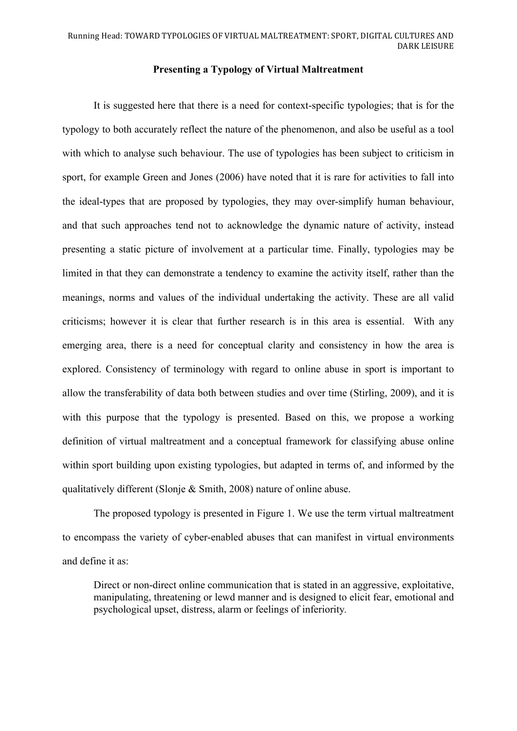### **Presenting a Typology of Virtual Maltreatment**

It is suggested here that there is a need for context-specific typologies; that is for the typology to both accurately reflect the nature of the phenomenon, and also be useful as a tool with which to analyse such behaviour. The use of typologies has been subject to criticism in sport, for example Green and Jones (2006) have noted that it is rare for activities to fall into the ideal-types that are proposed by typologies, they may over-simplify human behaviour, and that such approaches tend not to acknowledge the dynamic nature of activity, instead presenting a static picture of involvement at a particular time. Finally, typologies may be limited in that they can demonstrate a tendency to examine the activity itself, rather than the meanings, norms and values of the individual undertaking the activity. These are all valid criticisms; however it is clear that further research is in this area is essential. With any emerging area, there is a need for conceptual clarity and consistency in how the area is explored. Consistency of terminology with regard to online abuse in sport is important to allow the transferability of data both between studies and over time (Stirling, 2009), and it is with this purpose that the typology is presented. Based on this, we propose a working definition of virtual maltreatment and a conceptual framework for classifying abuse online within sport building upon existing typologies, but adapted in terms of, and informed by the qualitatively different (Slonje & Smith, 2008) nature of online abuse.

The proposed typology is presented in Figure 1. We use the term virtual maltreatment to encompass the variety of cyber-enabled abuses that can manifest in virtual environments and define it as:

Direct or non-direct online communication that is stated in an aggressive, exploitative, manipulating, threatening or lewd manner and is designed to elicit fear, emotional and psychological upset, distress, alarm or feelings of inferiority*.*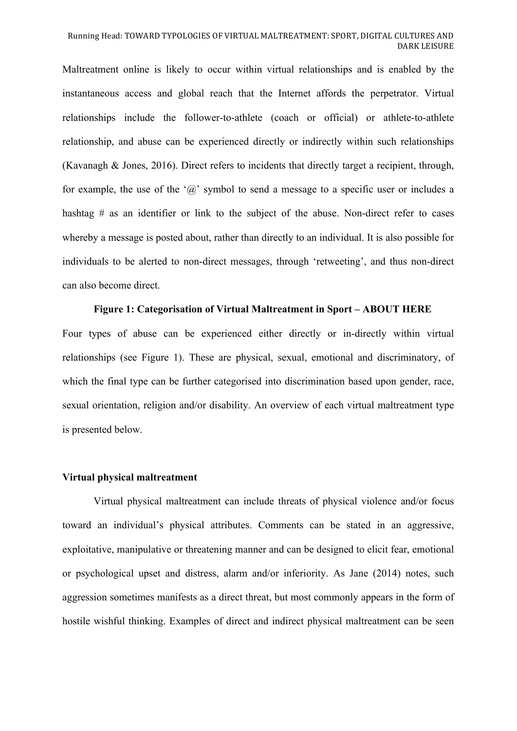Maltreatment online is likely to occur within virtual relationships and is enabled by the instantaneous access and global reach that the Internet affords the perpetrator. Virtual relationships include the follower-to-athlete (coach or official) or athlete-to-athlete relationship, and abuse can be experienced directly or indirectly within such relationships (Kavanagh & Jones, 2016). Direct refers to incidents that directly target a recipient, through, for example, the use of the ' $\omega$ ' symbol to send a message to a specific user or includes a hashtag # as an identifier or link to the subject of the abuse. Non-direct refer to cases whereby a message is posted about, rather than directly to an individual. It is also possible for individuals to be alerted to non-direct messages, through 'retweeting', and thus non-direct can also become direct.

### **Figure 1: Categorisation of Virtual Maltreatment in Sport – ABOUT HERE**

Four types of abuse can be experienced either directly or in-directly within virtual relationships (see Figure 1). These are physical, sexual, emotional and discriminatory, of which the final type can be further categorised into discrimination based upon gender, race, sexual orientation, religion and/or disability. An overview of each virtual maltreatment type is presented below.

#### **Virtual physical maltreatment**

Virtual physical maltreatment can include threats of physical violence and/or focus toward an individual's physical attributes. Comments can be stated in an aggressive, exploitative, manipulative or threatening manner and can be designed to elicit fear, emotional or psychological upset and distress, alarm and/or inferiority. As Jane (2014) notes, such aggression sometimes manifests as a direct threat, but most commonly appears in the form of hostile wishful thinking. Examples of direct and indirect physical maltreatment can be seen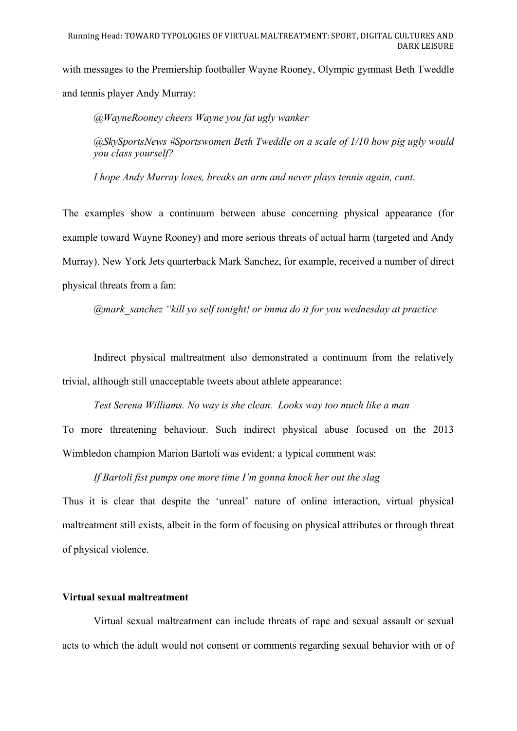with messages to the Premiership footballer Wayne Rooney, Olympic gymnast Beth Tweddle and tennis player Andy Murray:

*@WayneRooney cheers Wayne you fat ugly wanker*

*@SkySportsNews #Sportswomen Beth Tweddle on a scale of 1/10 how pig ugly would you class yourself?*

*I hope Andy Murray loses, breaks an arm and never plays tennis again, cunt.*

The examples show a continuum between abuse concerning physical appearance (for example toward Wayne Rooney) and more serious threats of actual harm (targeted and Andy Murray). New York Jets quarterback Mark Sanchez, for example, received a number of direct physical threats from a fan:

*@mark\_sanchez "kill yo self tonight! or imma do it for you wednesday at practice*

Indirect physical maltreatment also demonstrated a continuum from the relatively trivial, although still unacceptable tweets about athlete appearance:

*Test Serena Williams. No way is she clean. Looks way too much like a man*

To more threatening behaviour. Such indirect physical abuse focused on the 2013 Wimbledon champion Marion Bartoli was evident: a typical comment was:

*If Bartoli fist pumps one more time I'm gonna knock her out the slag*

Thus it is clear that despite the 'unreal' nature of online interaction, virtual physical maltreatment still exists, albeit in the form of focusing on physical attributes or through threat of physical violence.

# **Virtual sexual maltreatment**

Virtual sexual maltreatment can include threats of rape and sexual assault or sexual acts to which the adult would not consent or comments regarding sexual behavior with or of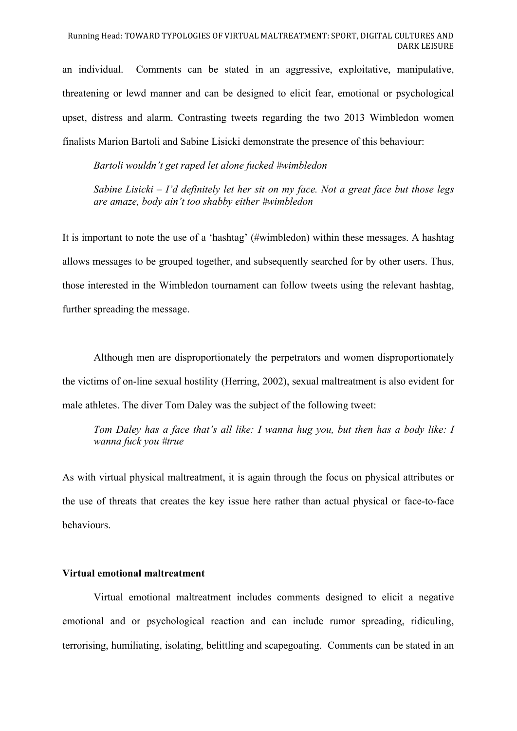an individual. Comments can be stated in an aggressive, exploitative, manipulative, threatening or lewd manner and can be designed to elicit fear, emotional or psychological upset, distress and alarm. Contrasting tweets regarding the two 2013 Wimbledon women finalists Marion Bartoli and Sabine Lisicki demonstrate the presence of this behaviour:

*Bartoli wouldn't get raped let alone fucked #wimbledon* 

*Sabine Lisicki – I'd definitely let her sit on my face. Not a great face but those legs are amaze, body ain't too shabby either #wimbledon* 

It is important to note the use of a 'hashtag' (#wimbledon) within these messages. A hashtag allows messages to be grouped together, and subsequently searched for by other users. Thus, those interested in the Wimbledon tournament can follow tweets using the relevant hashtag, further spreading the message.

Although men are disproportionately the perpetrators and women disproportionately the victims of on-line sexual hostility (Herring, 2002), sexual maltreatment is also evident for male athletes. The diver Tom Daley was the subject of the following tweet:

*Tom Daley has a face that's all like: I wanna hug you, but then has a body like: I wanna fuck you #true* 

As with virtual physical maltreatment, it is again through the focus on physical attributes or the use of threats that creates the key issue here rather than actual physical or face-to-face behaviours.

## **Virtual emotional maltreatment**

Virtual emotional maltreatment includes comments designed to elicit a negative emotional and or psychological reaction and can include rumor spreading, ridiculing, terrorising, humiliating, isolating, belittling and scapegoating. Comments can be stated in an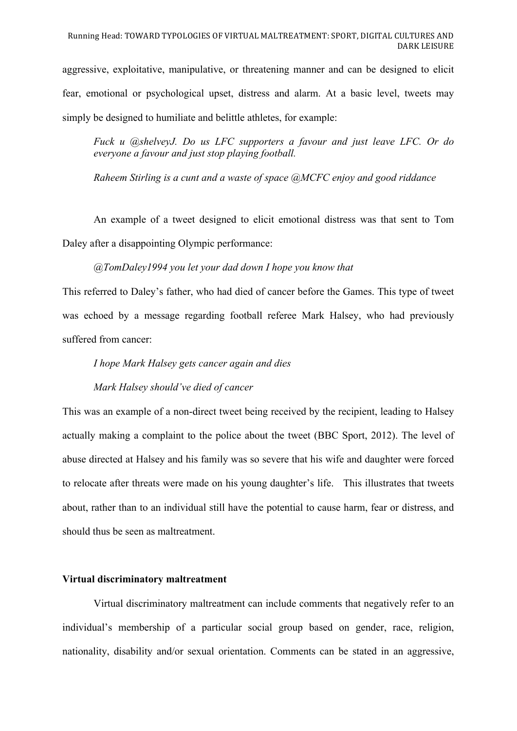aggressive, exploitative, manipulative, or threatening manner and can be designed to elicit fear, emotional or psychological upset, distress and alarm. At a basic level, tweets may simply be designed to humiliate and belittle athletes, for example:

*Fuck u @shelveyJ. Do us LFC supporters a favour and just leave LFC. Or do everyone a favour and just stop playing football.*

*Raheem Stirling is a cunt and a waste of space @MCFC enjoy and good riddance*

An example of a tweet designed to elicit emotional distress was that sent to Tom Daley after a disappointing Olympic performance:

# *@TomDaley1994 you let your dad down I hope you know that*

This referred to Daley's father, who had died of cancer before the Games. This type of tweet was echoed by a message regarding football referee Mark Halsey, who had previously suffered from cancer:

#### *I hope Mark Halsey gets cancer again and dies*

#### *Mark Halsey should've died of cancer*

This was an example of a non-direct tweet being received by the recipient, leading to Halsey actually making a complaint to the police about the tweet (BBC Sport, 2012). The level of abuse directed at Halsey and his family was so severe that his wife and daughter were forced to relocate after threats were made on his young daughter's life. This illustrates that tweets about, rather than to an individual still have the potential to cause harm, fear or distress, and should thus be seen as maltreatment.

# **Virtual discriminatory maltreatment**

Virtual discriminatory maltreatment can include comments that negatively refer to an individual's membership of a particular social group based on gender, race, religion, nationality, disability and/or sexual orientation. Comments can be stated in an aggressive,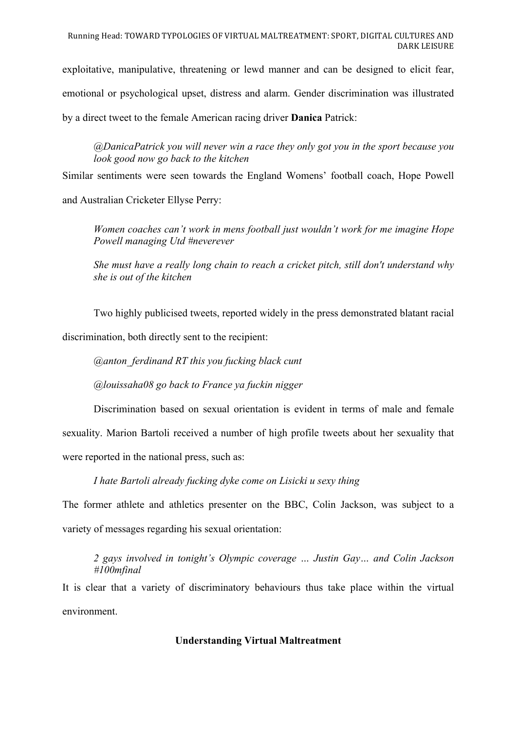exploitative, manipulative, threatening or lewd manner and can be designed to elicit fear, emotional or psychological upset, distress and alarm. Gender discrimination was illustrated by a direct tweet to the female American racing driver **Danica** Patrick:

*@DanicaPatrick you will never win a race they only got you in the sport because you look good now go back to the kitchen*

Similar sentiments were seen towards the England Womens' football coach, Hope Powell and Australian Cricketer Ellyse Perry:

*Women coaches can't work in mens football just wouldn't work for me imagine Hope Powell managing Utd #neverever*

*She must have a really long chain to reach a cricket pitch, still don't understand why she is out of the kitchen*

Two highly publicised tweets, reported widely in the press demonstrated blatant racial discrimination, both directly sent to the recipient:

*@anton\_ferdinand RT this you fucking black cunt*

*@louissaha08 go back to France ya fuckin nigger*

Discrimination based on sexual orientation is evident in terms of male and female sexuality. Marion Bartoli received a number of high profile tweets about her sexuality that were reported in the national press, such as:

*I hate Bartoli already fucking dyke come on Lisicki u sexy thing*

The former athlete and athletics presenter on the BBC, Colin Jackson, was subject to a variety of messages regarding his sexual orientation:

*2 gays involved in tonight's Olympic coverage … Justin Gay… and Colin Jackson #100mfinal*

It is clear that a variety of discriminatory behaviours thus take place within the virtual environment.

# **Understanding Virtual Maltreatment**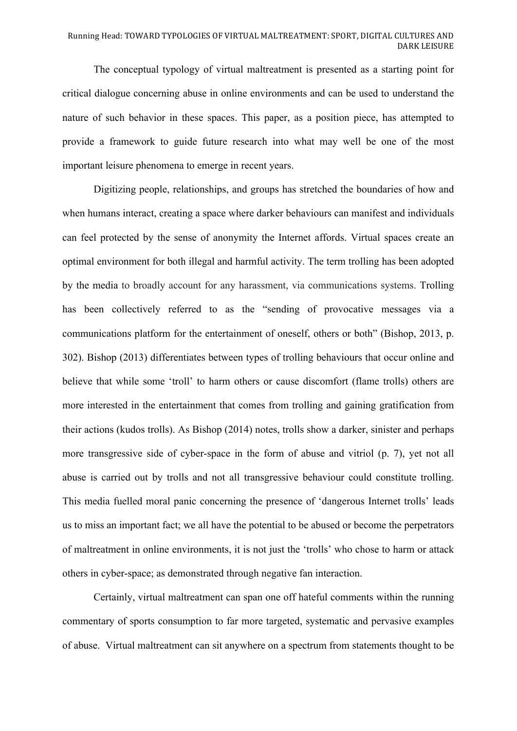The conceptual typology of virtual maltreatment is presented as a starting point for critical dialogue concerning abuse in online environments and can be used to understand the nature of such behavior in these spaces. This paper, as a position piece, has attempted to provide a framework to guide future research into what may well be one of the most important leisure phenomena to emerge in recent years.

Digitizing people, relationships, and groups has stretched the boundaries of how and when humans interact, creating a space where darker behaviours can manifest and individuals can feel protected by the sense of anonymity the Internet affords. Virtual spaces create an optimal environment for both illegal and harmful activity. The term trolling has been adopted by the media to broadly account for any harassment, via communications systems. Trolling has been collectively referred to as the "sending of provocative messages via a communications platform for the entertainment of oneself, others or both" (Bishop, 2013, p. 302). Bishop (2013) differentiates between types of trolling behaviours that occur online and believe that while some 'troll' to harm others or cause discomfort (flame trolls) others are more interested in the entertainment that comes from trolling and gaining gratification from their actions (kudos trolls). As Bishop (2014) notes, trolls show a darker, sinister and perhaps more transgressive side of cyber-space in the form of abuse and vitriol (p. 7), yet not all abuse is carried out by trolls and not all transgressive behaviour could constitute trolling. This media fuelled moral panic concerning the presence of 'dangerous Internet trolls' leads us to miss an important fact; we all have the potential to be abused or become the perpetrators of maltreatment in online environments, it is not just the 'trolls' who chose to harm or attack others in cyber-space; as demonstrated through negative fan interaction.

Certainly, virtual maltreatment can span one off hateful comments within the running commentary of sports consumption to far more targeted, systematic and pervasive examples of abuse. Virtual maltreatment can sit anywhere on a spectrum from statements thought to be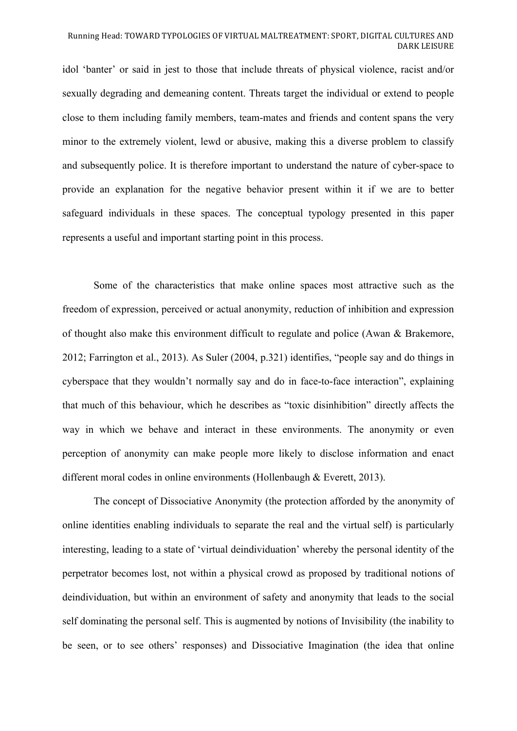idol 'banter' or said in jest to those that include threats of physical violence, racist and/or sexually degrading and demeaning content. Threats target the individual or extend to people close to them including family members, team-mates and friends and content spans the very minor to the extremely violent, lewd or abusive, making this a diverse problem to classify and subsequently police. It is therefore important to understand the nature of cyber-space to provide an explanation for the negative behavior present within it if we are to better safeguard individuals in these spaces. The conceptual typology presented in this paper represents a useful and important starting point in this process.

Some of the characteristics that make online spaces most attractive such as the freedom of expression, perceived or actual anonymity, reduction of inhibition and expression of thought also make this environment difficult to regulate and police (Awan & Brakemore, 2012; Farrington et al., 2013). As Suler (2004, p.321) identifies, "people say and do things in cyberspace that they wouldn't normally say and do in face-to-face interaction", explaining that much of this behaviour, which he describes as "toxic disinhibition" directly affects the way in which we behave and interact in these environments. The anonymity or even perception of anonymity can make people more likely to disclose information and enact different moral codes in online environments (Hollenbaugh & Everett, 2013).

The concept of Dissociative Anonymity (the protection afforded by the anonymity of online identities enabling individuals to separate the real and the virtual self) is particularly interesting, leading to a state of 'virtual deindividuation' whereby the personal identity of the perpetrator becomes lost, not within a physical crowd as proposed by traditional notions of deindividuation, but within an environment of safety and anonymity that leads to the social self dominating the personal self. This is augmented by notions of Invisibility (the inability to be seen, or to see others' responses) and Dissociative Imagination (the idea that online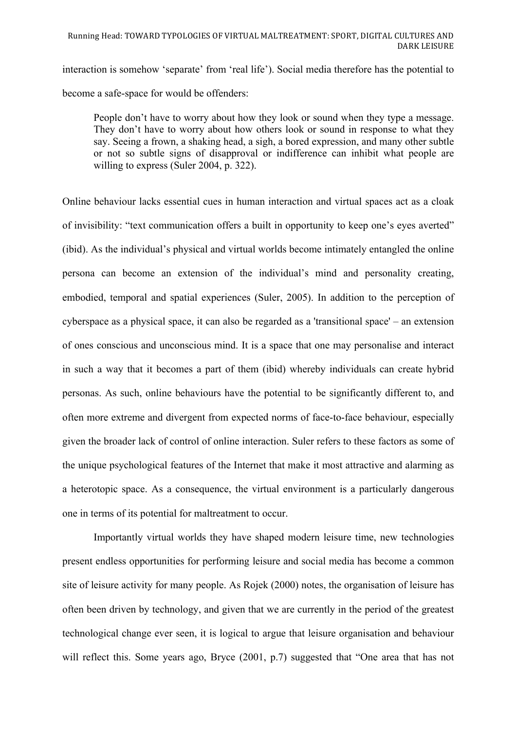interaction is somehow 'separate' from 'real life'). Social media therefore has the potential to become a safe-space for would be offenders:

People don't have to worry about how they look or sound when they type a message. They don't have to worry about how others look or sound in response to what they say. Seeing a frown, a shaking head, a sigh, a bored expression, and many other subtle or not so subtle signs of disapproval or indifference can inhibit what people are willing to express (Suler 2004, p. 322).

Online behaviour lacks essential cues in human interaction and virtual spaces act as a cloak of invisibility: "text communication offers a built in opportunity to keep one's eyes averted" (ibid). As the individual's physical and virtual worlds become intimately entangled the online persona can become an extension of the individual's mind and personality creating, embodied, temporal and spatial experiences (Suler, 2005). In addition to the perception of cyberspace as a physical space, it can also be regarded as a 'transitional space' – an extension of ones conscious and unconscious mind. It is a space that one may personalise and interact in such a way that it becomes a part of them (ibid) whereby individuals can create hybrid personas. As such, online behaviours have the potential to be significantly different to, and often more extreme and divergent from expected norms of face-to-face behaviour, especially given the broader lack of control of online interaction. Suler refers to these factors as some of the unique psychological features of the Internet that make it most attractive and alarming as a heterotopic space. As a consequence, the virtual environment is a particularly dangerous one in terms of its potential for maltreatment to occur.

Importantly virtual worlds they have shaped modern leisure time, new technologies present endless opportunities for performing leisure and social media has become a common site of leisure activity for many people. As Rojek (2000) notes, the organisation of leisure has often been driven by technology, and given that we are currently in the period of the greatest technological change ever seen, it is logical to argue that leisure organisation and behaviour will reflect this. Some years ago, Bryce (2001, p.7) suggested that "One area that has not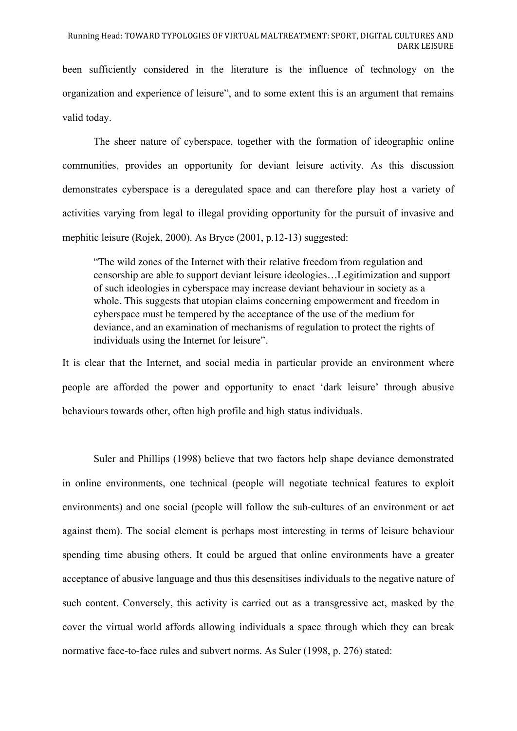been sufficiently considered in the literature is the influence of technology on the organization and experience of leisure", and to some extent this is an argument that remains valid today.

The sheer nature of cyberspace, together with the formation of ideographic online communities, provides an opportunity for deviant leisure activity. As this discussion demonstrates cyberspace is a deregulated space and can therefore play host a variety of activities varying from legal to illegal providing opportunity for the pursuit of invasive and mephitic leisure (Rojek, 2000). As Bryce (2001, p.12-13) suggested:

"The wild zones of the Internet with their relative freedom from regulation and censorship are able to support deviant leisure ideologies…Legitimization and support of such ideologies in cyberspace may increase deviant behaviour in society as a whole. This suggests that utopian claims concerning empowerment and freedom in cyberspace must be tempered by the acceptance of the use of the medium for deviance, and an examination of mechanisms of regulation to protect the rights of individuals using the Internet for leisure".

It is clear that the Internet, and social media in particular provide an environment where people are afforded the power and opportunity to enact 'dark leisure' through abusive behaviours towards other, often high profile and high status individuals.

Suler and Phillips (1998) believe that two factors help shape deviance demonstrated in online environments, one technical (people will negotiate technical features to exploit environments) and one social (people will follow the sub-cultures of an environment or act against them). The social element is perhaps most interesting in terms of leisure behaviour spending time abusing others. It could be argued that online environments have a greater acceptance of abusive language and thus this desensitises individuals to the negative nature of such content. Conversely, this activity is carried out as a transgressive act, masked by the cover the virtual world affords allowing individuals a space through which they can break normative face-to-face rules and subvert norms. As Suler (1998, p. 276) stated: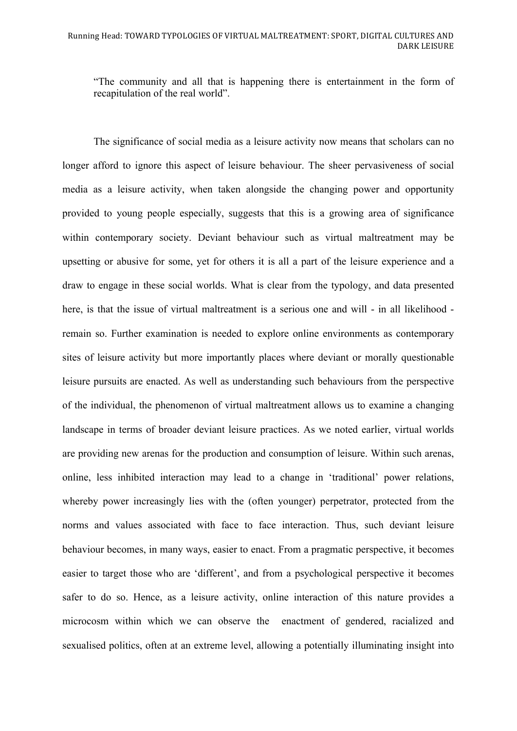"The community and all that is happening there is entertainment in the form of recapitulation of the real world".

The significance of social media as a leisure activity now means that scholars can no longer afford to ignore this aspect of leisure behaviour. The sheer pervasiveness of social media as a leisure activity, when taken alongside the changing power and opportunity provided to young people especially, suggests that this is a growing area of significance within contemporary society. Deviant behaviour such as virtual maltreatment may be upsetting or abusive for some, yet for others it is all a part of the leisure experience and a draw to engage in these social worlds. What is clear from the typology, and data presented here, is that the issue of virtual maltreatment is a serious one and will - in all likelihood remain so. Further examination is needed to explore online environments as contemporary sites of leisure activity but more importantly places where deviant or morally questionable leisure pursuits are enacted. As well as understanding such behaviours from the perspective of the individual, the phenomenon of virtual maltreatment allows us to examine a changing landscape in terms of broader deviant leisure practices. As we noted earlier, virtual worlds are providing new arenas for the production and consumption of leisure. Within such arenas, online, less inhibited interaction may lead to a change in 'traditional' power relations, whereby power increasingly lies with the (often younger) perpetrator, protected from the norms and values associated with face to face interaction. Thus, such deviant leisure behaviour becomes, in many ways, easier to enact. From a pragmatic perspective, it becomes easier to target those who are 'different', and from a psychological perspective it becomes safer to do so. Hence, as a leisure activity, online interaction of this nature provides a microcosm within which we can observe the enactment of gendered, racialized and sexualised politics, often at an extreme level, allowing a potentially illuminating insight into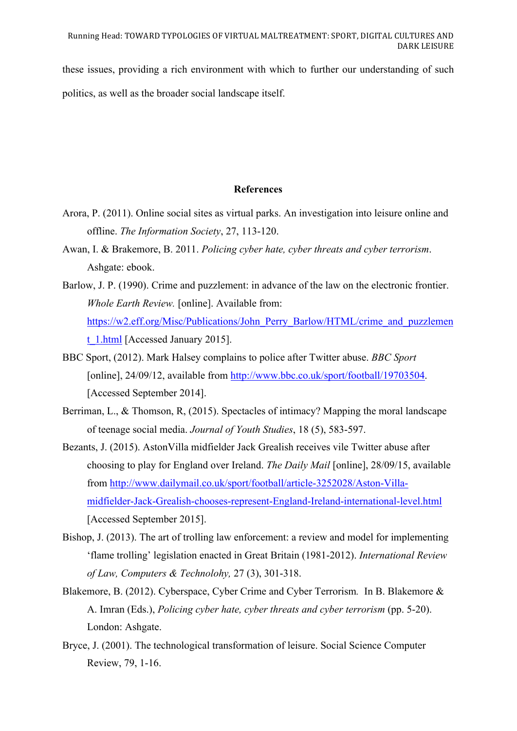these issues, providing a rich environment with which to further our understanding of such politics, as well as the broader social landscape itself.

### **References**

- Arora, P. (2011). Online social sites as virtual parks. An investigation into leisure online and offline. *The Information Society*, 27, 113-120.
- Awan, I. & Brakemore, B. 2011. *Policing cyber hate, cyber threats and cyber terrorism*. Ashgate: ebook.
- Barlow, J. P. (1990). Crime and puzzlement: in advance of the law on the electronic frontier. *Whole Earth Review.* [online]. Available from: https://w2.eff.org/Misc/Publications/John\_Perry\_Barlow/HTML/crime\_and\_puzzlemen t 1.html [Accessed January 2015].
- BBC Sport, (2012). Mark Halsey complains to police after Twitter abuse. *BBC Sport*  [online], 24/09/12, available from http://www.bbc.co.uk/sport/football/19703504. [Accessed September 2014].
- Berriman, L., & Thomson, R, (2015). Spectacles of intimacy? Mapping the moral landscape of teenage social media. *Journal of Youth Studies*, 18 (5), 583-597.
- Bezants, J. (2015). AstonVilla midfielder Jack Grealish receives vile Twitter abuse after choosing to play for England over Ireland. *The Daily Mail* [online], 28/09/15, available from http://www.dailymail.co.uk/sport/football/article-3252028/Aston-Villamidfielder-Jack-Grealish-chooses-represent-England-Ireland-international-level.html [Accessed September 2015].
- Bishop, J. (2013). The art of trolling law enforcement: a review and model for implementing 'flame trolling' legislation enacted in Great Britain (1981-2012). *International Review of Law, Computers & Technolohy,* 27 (3), 301-318.
- Blakemore, B. (2012). Cyberspace, Cyber Crime and Cyber Terrorism*.* In B. Blakemore & A. Imran (Eds.), *Policing cyber hate, cyber threats and cyber terrorism* (pp. 5-20). London: Ashgate.
- Bryce, J. (2001). The technological transformation of leisure. Social Science Computer Review, 79, 1-16.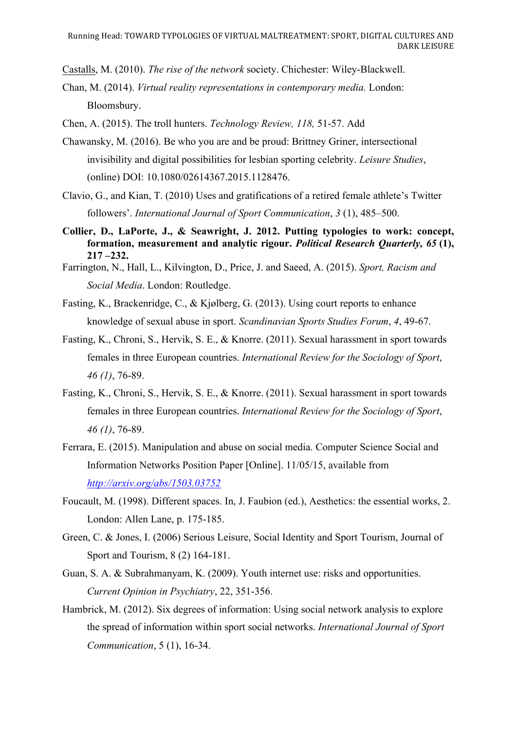Castalls, M. (2010). *The rise of the network* society. Chichester: Wiley-Blackwell.

- Chan, M. (2014). *Virtual reality representations in contemporary media.* London: Bloomsbury.
- Chen, A. (2015). The troll hunters. *Technology Review, 118,* 51-57. Add
- Chawansky, M. (2016). Be who you are and be proud: Brittney Griner, intersectional invisibility and digital possibilities for lesbian sporting celebrity. *Leisure Studies*, (online) DOI: 10.1080/02614367.2015.1128476.
- Clavio, G., and Kian, T. (2010) Uses and gratifications of a retired female athlete's Twitter followers'. *International Journal of Sport Communication*, *3* (1), 485–500.
- **Collier, D., LaPorte, J., & Seawright, J. 2012. Putting typologies to work: concept, formation, measurement and analytic rigour.** *Political Research Quarterly, 65* **(1), 217 –232.**
- Farrington, N., Hall, L., Kilvington, D., Price, J. and Saeed, A. (2015). *Sport, Racism and Social Media*. London: Routledge.
- Fasting, K., Brackenridge, C., & Kjølberg, G. (2013). Using court reports to enhance knowledge of sexual abuse in sport. *Scandinavian Sports Studies Forum*, *4*, 49-67.
- Fasting, K., Chroni, S., Hervik, S. E., & Knorre. (2011). Sexual harassment in sport towards females in three European countries. *International Review for the Sociology of Sport*, *46 (1)*, 76-89.
- Fasting, K., Chroni, S., Hervik, S. E., & Knorre. (2011). Sexual harassment in sport towards females in three European countries. *International Review for the Sociology of Sport*, *46 (1)*, 76-89.
- Ferrara, E. (2015). Manipulation and abuse on social media. Computer Science Social and Information Networks Position Paper [Online]. 11/05/15, available from *http://arxiv.org/abs/1503.03752*
- Foucault, M. (1998). Different spaces. In, J. Faubion (ed.), Aesthetics: the essential works, 2. London: Allen Lane, p. 175-185.
- Green, C. & Jones, I. (2006) Serious Leisure, Social Identity and Sport Tourism, Journal of Sport and Tourism, 8 (2) 164-181.
- Guan, S. A. & Subrahmanyam, K. (2009). Youth internet use: risks and opportunities. *Current Opinion in Psychiatry*, 22, 351-356.
- Hambrick, M. (2012). Six degrees of information: Using social network analysis to explore the spread of information within sport social networks. *International Journal of Sport Communication*, 5 (1), 16-34.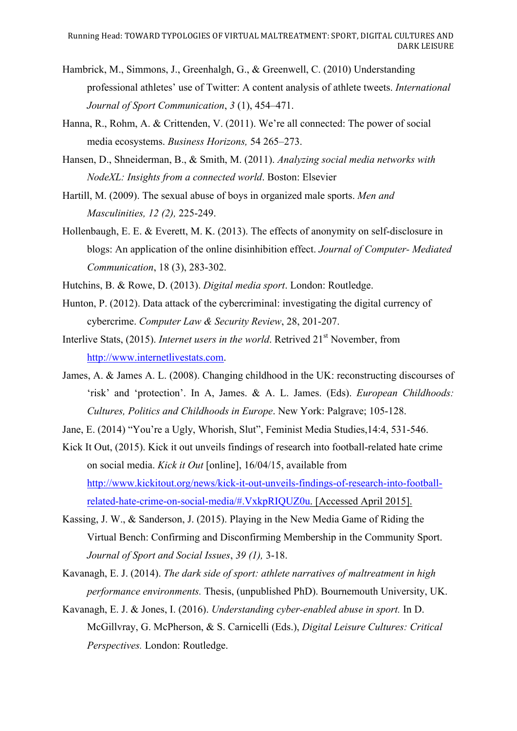- Hambrick, M., Simmons, J., Greenhalgh, G., & Greenwell, C. (2010) Understanding professional athletes' use of Twitter: A content analysis of athlete tweets. *International Journal of Sport Communication*, *3* (1), 454–471.
- Hanna, R., Rohm, A. & Crittenden, V. (2011). We're all connected: The power of social media ecosystems. *Business Horizons,* 54 265–273.
- Hansen, D., Shneiderman, B., & Smith, M. (2011). *Analyzing social media networks with NodeXL: Insights from a connected world*. Boston: Elsevier
- Hartill, M. (2009). The sexual abuse of boys in organized male sports. *Men and Masculinities, 12 (2),* 225-249.
- Hollenbaugh, E. E. & Everett, M. K. (2013). The effects of anonymity on self-disclosure in blogs: An application of the online disinhibition effect. *Journal of Computer- Mediated Communication*, 18 (3), 283-302.
- Hutchins, B. & Rowe, D. (2013). *Digital media sport*. London: Routledge.
- Hunton, P. (2012). Data attack of the cybercriminal: investigating the digital currency of cybercrime. *Computer Law & Security Review*, 28, 201-207.
- Interlive Stats, (2015). *Internet users in the world*. Retrived 21<sup>st</sup> November, from http://www.internetlivestats.com.
- James, A. & James A. L. (2008). Changing childhood in the UK: reconstructing discourses of 'risk' and 'protection'. In A, James. & A. L. James. (Eds). *European Childhoods: Cultures, Politics and Childhoods in Europe*. New York: Palgrave; 105-128.
- Jane, E. (2014) "You're a Ugly, Whorish, Slut", Feminist Media Studies,14:4, 531-546.
- Kick It Out, (2015). Kick it out unveils findings of research into football-related hate crime on social media. *Kick it Out* [online], 16/04/15, available from http://www.kickitout.org/news/kick-it-out-unveils-findings-of-research-into-footballrelated-hate-crime-on-social-media/#.VxkpRIQUZ0u. [Accessed April 2015].
- Kassing, J. W., & Sanderson, J. (2015). Playing in the New Media Game of Riding the Virtual Bench: Confirming and Disconfirming Membership in the Community Sport. *Journal of Sport and Social Issues*, *39 (1),* 3-18.
- Kavanagh, E. J. (2014). *The dark side of sport: athlete narratives of maltreatment in high performance environments.* Thesis, (unpublished PhD). Bournemouth University, UK.
- Kavanagh, E. J. & Jones, I. (2016). *Understanding cyber-enabled abuse in sport.* In D. McGillvray, G. McPherson, & S. Carnicelli (Eds.), *Digital Leisure Cultures: Critical Perspectives.* London: Routledge.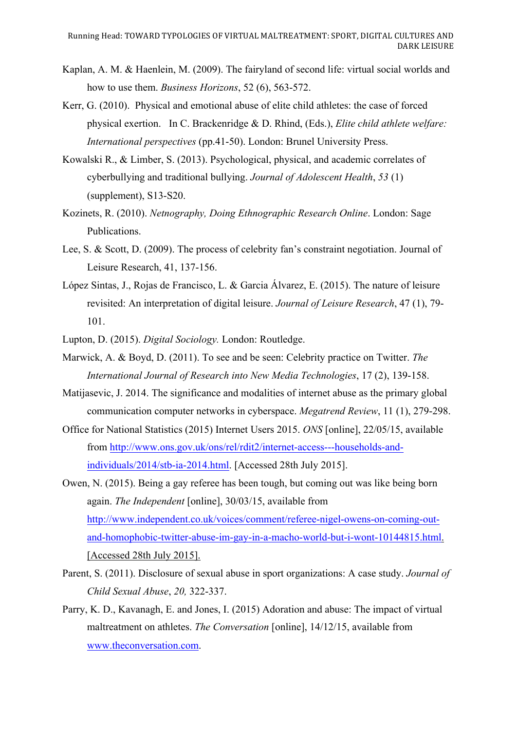- Kaplan, A. M. & Haenlein, M. (2009). The fairyland of second life: virtual social worlds and how to use them. *Business Horizons*, 52 (6), 563-572.
- Kerr, G. (2010). Physical and emotional abuse of elite child athletes: the case of forced physical exertion. In C. Brackenridge & D. Rhind, (Eds.), *Elite child athlete welfare: International perspectives* (pp.41-50). London: Brunel University Press.
- Kowalski R., & Limber, S. (2013). Psychological, physical, and academic correlates of cyberbullying and traditional bullying. *Journal of Adolescent Health*, *53* (1) (supplement), S13-S20.
- Kozinets, R. (2010). *Netnography, Doing Ethnographic Research Online*. London: Sage Publications.
- Lee, S. & Scott, D. (2009). The process of celebrity fan's constraint negotiation. Journal of Leisure Research, 41, 137-156.
- López Sintas, J., Rojas de Francisco, L. & Garcia Álvarez, E. (2015). The nature of leisure revisited: An interpretation of digital leisure. *Journal of Leisure Research*, 47 (1), 79- 101.
- Lupton, D. (2015). *Digital Sociology.* London: Routledge.
- Marwick, A. & Boyd, D. (2011). To see and be seen: Celebrity practice on Twitter. *The International Journal of Research into New Media Technologies*, 17 (2), 139-158.
- Matijasevic, J. 2014. The significance and modalities of internet abuse as the primary global communication computer networks in cyberspace. *Megatrend Review*, 11 (1), 279-298.
- Office for National Statistics (2015) Internet Users 2015. *ONS* [online], 22/05/15, available from http://www.ons.gov.uk/ons/rel/rdit2/internet-access---households-andindividuals/2014/stb-ia-2014.html. [Accessed 28th July 2015].
- Owen, N. (2015). Being a gay referee has been tough, but coming out was like being born again. *The Independent* [online], 30/03/15, available from http://www.independent.co.uk/voices/comment/referee-nigel-owens-on-coming-outand-homophobic-twitter-abuse-im-gay-in-a-macho-world-but-i-wont-10144815.html. [Accessed 28th July 2015].
- Parent, S. (2011). Disclosure of sexual abuse in sport organizations: A case study. *Journal of Child Sexual Abuse*, *20,* 322-337.
- Parry, K. D., Kavanagh, E. and Jones, I. (2015) Adoration and abuse: The impact of virtual maltreatment on athletes. *The Conversation* [online], 14/12/15, available from www.theconversation.com.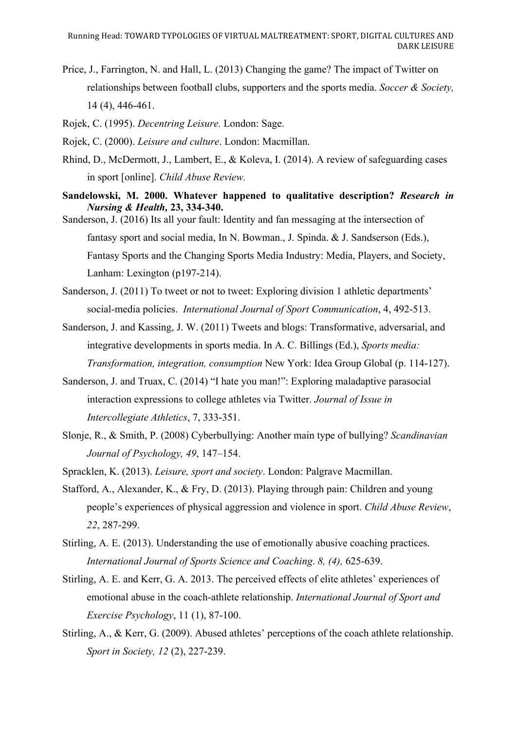- Price, J., Farrington, N. and Hall, L. (2013) Changing the game? The impact of Twitter on relationships between football clubs, supporters and the sports media. *Soccer & Society,*  14 (4), 446-461.
- Rojek, C. (1995). *Decentring Leisure.* London: Sage.
- Rojek, C. (2000). *Leisure and culture*. London: Macmillan.
- Rhind, D., McDermott, J., Lambert, E., & Koleva, I. (2014). A review of safeguarding cases in sport [online]. *Child Abuse Review.*
- **Sandelowski, M. 2000. Whatever happened to qualitative description?** *Research in Nursing & Health,* **23, 334-340.**
- Sanderson, J. (2016) Its all your fault: Identity and fan messaging at the intersection of fantasy sport and social media, In N. Bowman., J. Spinda. & J. Sandserson (Eds.), Fantasy Sports and the Changing Sports Media Industry: Media, Players, and Society, Lanham: Lexington (p197-214).
- Sanderson, J. (2011) To tweet or not to tweet: Exploring division 1 athletic departments' social-media policies. *International Journal of Sport Communication*, 4, 492-513.

Sanderson, J. and Kassing, J. W. (2011) Tweets and blogs: Transformative, adversarial, and integrative developments in sports media. In A. C. Billings (Ed.), *Sports media: Transformation, integration, consumption* New York: Idea Group Global (p. 114-127).

- Sanderson, J. and Truax, C. (2014) "I hate you man!": Exploring maladaptive parasocial interaction expressions to college athletes via Twitter. *Journal of Issue in Intercollegiate Athletics*, 7, 333-351.
- Slonje, R., & Smith, P. (2008) Cyberbullying: Another main type of bullying? *Scandinavian Journal of Psychology, 49*, 147–154.
- Spracklen, K. (2013). *Leisure, sport and society*. London: Palgrave Macmillan.
- Stafford, A., Alexander, K., & Fry, D. (2013). Playing through pain: Children and young people's experiences of physical aggression and violence in sport. *Child Abuse Review*, *22*, 287-299.
- Stirling, A. E. (2013). Understanding the use of emotionally abusive coaching practices. *International Journal of Sports Science and Coaching*. *8, (4),* 625-639.
- Stirling, A. E. and Kerr, G. A. 2013. The perceived effects of elite athletes' experiences of emotional abuse in the coach-athlete relationship. *International Journal of Sport and Exercise Psychology*, 11 (1), 87-100.
- Stirling, A., & Kerr, G. (2009). Abused athletes' perceptions of the coach athlete relationship. *Sport in Society, 12* (2), 227-239.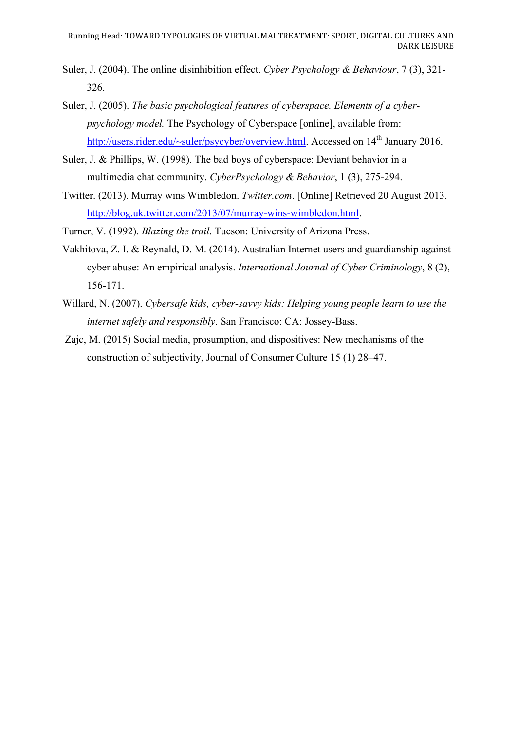- Suler, J. (2004). The online disinhibition effect. *Cyber Psychology & Behaviour*, 7 (3), 321- 326.
- Suler, J. (2005). *The basic psychological features of cyberspace. Elements of a cyberpsychology model.* The Psychology of Cyberspace [online], available from: http://users.rider.edu/~suler/psycyber/overview.html. Accessed on 14<sup>th</sup> January 2016.
- Suler, J. & Phillips, W. (1998). The bad boys of cyberspace: Deviant behavior in a multimedia chat community. *CyberPsychology & Behavior*, 1 (3), 275-294.
- Twitter. (2013). Murray wins Wimbledon. *Twitter.com*. [Online] Retrieved 20 August 2013. http://blog.uk.twitter.com/2013/07/murray-wins-wimbledon.html.
- Turner, V. (1992). *Blazing the trail*. Tucson: University of Arizona Press.
- Vakhitova, Z. I. & Reynald, D. M. (2014). Australian Internet users and guardianship against cyber abuse: An empirical analysis. *International Journal of Cyber Criminology*, 8 (2), 156-171.
- Willard, N. (2007). *Cybersafe kids, cyber-savvy kids: Helping young people learn to use the internet safely and responsibly*. San Francisco: CA: Jossey-Bass.
- Zajc, M. (2015) Social media, prosumption, and dispositives: New mechanisms of the construction of subjectivity, Journal of Consumer Culture 15 (1) 28–47.